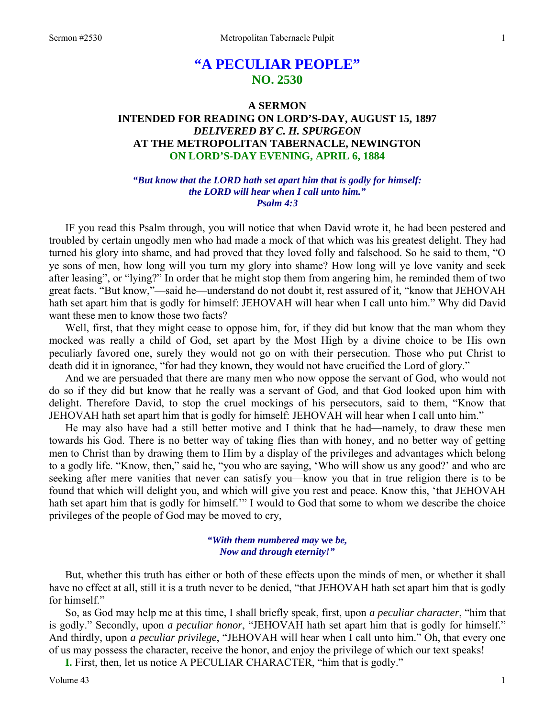# **"A PECULIAR PEOPLE" NO. 2530**

# **A SERMON INTENDED FOR READING ON LORD'S-DAY, AUGUST 15, 1897**  *DELIVERED BY C. H. SPURGEON*  **AT THE METROPOLITAN TABERNACLE, NEWINGTON ON LORD'S-DAY EVENING, APRIL 6, 1884**

### *"But know that the LORD hath set apart him that is godly for himself: the LORD will hear when I call unto him." Psalm 4:3*

IF you read this Psalm through, you will notice that when David wrote it, he had been pestered and troubled by certain ungodly men who had made a mock of that which was his greatest delight. They had turned his glory into shame, and had proved that they loved folly and falsehood. So he said to them, "O ye sons of men, how long will you turn my glory into shame? How long will ye love vanity and seek after leasing", or "lying?" In order that he might stop them from angering him, he reminded them of two great facts. "But know,"—said he—understand do not doubt it, rest assured of it, "know that JEHOVAH hath set apart him that is godly for himself: JEHOVAH will hear when I call unto him." Why did David want these men to know those two facts?

Well, first, that they might cease to oppose him, for, if they did but know that the man whom they mocked was really a child of God, set apart by the Most High by a divine choice to be His own peculiarly favored one, surely they would not go on with their persecution. Those who put Christ to death did it in ignorance, "for had they known, they would not have crucified the Lord of glory."

And we are persuaded that there are many men who now oppose the servant of God, who would not do so if they did but know that he really was a servant of God, and that God looked upon him with delight. Therefore David, to stop the cruel mockings of his persecutors, said to them, "Know that JEHOVAH hath set apart him that is godly for himself: JEHOVAH will hear when I call unto him."

He may also have had a still better motive and I think that he had—namely, to draw these men towards his God. There is no better way of taking flies than with honey, and no better way of getting men to Christ than by drawing them to Him by a display of the privileges and advantages which belong to a godly life. "Know, then," said he, "you who are saying, 'Who will show us any good?' and who are seeking after mere vanities that never can satisfy you—know you that in true religion there is to be found that which will delight you, and which will give you rest and peace. Know this, 'that JEHOVAH hath set apart him that is godly for himself." I would to God that some to whom we describe the choice privileges of the people of God may be moved to cry,

## *"With them numbered may* **we** *be, Now and through eternity!"*

But, whether this truth has either or both of these effects upon the minds of men, or whether it shall have no effect at all, still it is a truth never to be denied, "that JEHOVAH hath set apart him that is godly for himself."

So, as God may help me at this time, I shall briefly speak, first, upon *a peculiar character*, "him that is godly." Secondly, upon *a peculiar honor*, "JEHOVAH hath set apart him that is godly for himself." And thirdly, upon *a peculiar privilege*, "JEHOVAH will hear when I call unto him." Oh, that every one of us may possess the character, receive the honor, and enjoy the privilege of which our text speaks!

**I.** First, then, let us notice A PECULIAR CHARACTER, "him that is godly."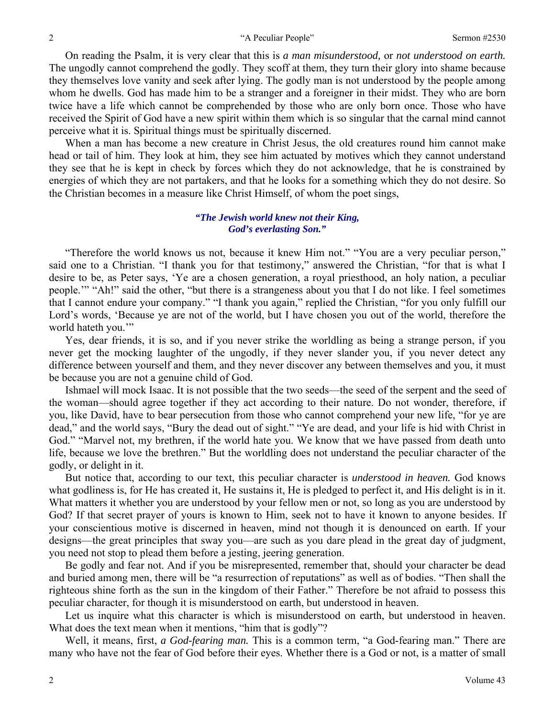On reading the Psalm, it is very clear that this is *a man misunderstood,* or *not understood on earth.*  The ungodly cannot comprehend the godly. They scoff at them, they turn their glory into shame because they themselves love vanity and seek after lying. The godly man is not understood by the people among whom he dwells. God has made him to be a stranger and a foreigner in their midst. They who are born twice have a life which cannot be comprehended by those who are only born once. Those who have received the Spirit of God have a new spirit within them which is so singular that the carnal mind cannot perceive what it is. Spiritual things must be spiritually discerned.

When a man has become a new creature in Christ Jesus, the old creatures round him cannot make head or tail of him. They look at him, they see him actuated by motives which they cannot understand they see that he is kept in check by forces which they do not acknowledge, that he is constrained by energies of which they are not partakers, and that he looks for a something which they do not desire. So the Christian becomes in a measure like Christ Himself, of whom the poet sings,

#### *"The Jewish world knew not their King, God's everlasting Son."*

"Therefore the world knows us not, because it knew Him not." "You are a very peculiar person," said one to a Christian. "I thank you for that testimony," answered the Christian, "for that is what I desire to be, as Peter says, 'Ye are a chosen generation, a royal priesthood, an holy nation, a peculiar people.'" "Ah!" said the other, "but there is a strangeness about you that I do not like. I feel sometimes that I cannot endure your company." "I thank you again," replied the Christian, "for you only fulfill our Lord's words, 'Because ye are not of the world, but I have chosen you out of the world, therefore the world hateth you.'"

Yes, dear friends, it is so, and if you never strike the worldling as being a strange person, if you never get the mocking laughter of the ungodly, if they never slander you, if you never detect any difference between yourself and them, and they never discover any between themselves and you, it must be because you are not a genuine child of God.

Ishmael will mock Isaac. It is not possible that the two seeds—the seed of the serpent and the seed of the woman—should agree together if they act according to their nature. Do not wonder, therefore, if you, like David, have to bear persecution from those who cannot comprehend your new life, "for ye are dead," and the world says, "Bury the dead out of sight." "Ye are dead, and your life is hid with Christ in God." "Marvel not, my brethren, if the world hate you. We know that we have passed from death unto life, because we love the brethren." But the worldling does not understand the peculiar character of the godly, or delight in it.

But notice that, according to our text, this peculiar character is *understood in heaven.* God knows what godliness is, for He has created it, He sustains it, He is pledged to perfect it, and His delight is in it. What matters it whether you are understood by your fellow men or not, so long as you are understood by God? If that secret prayer of yours is known to Him, seek not to have it known to anyone besides. If your conscientious motive is discerned in heaven, mind not though it is denounced on earth. If your designs—the great principles that sway you—are such as you dare plead in the great day of judgment, you need not stop to plead them before a jesting, jeering generation.

Be godly and fear not. And if you be misrepresented, remember that, should your character be dead and buried among men, there will be "a resurrection of reputations" as well as of bodies. "Then shall the righteous shine forth as the sun in the kingdom of their Father." Therefore be not afraid to possess this peculiar character, for though it is misunderstood on earth, but understood in heaven.

Let us inquire what this character is which is misunderstood on earth, but understood in heaven. What does the text mean when it mentions, "him that is godly"?

Well, it means, first, *a God-fearing man.* This is a common term, "a God-fearing man." There are many who have not the fear of God before their eyes. Whether there is a God or not, is a matter of small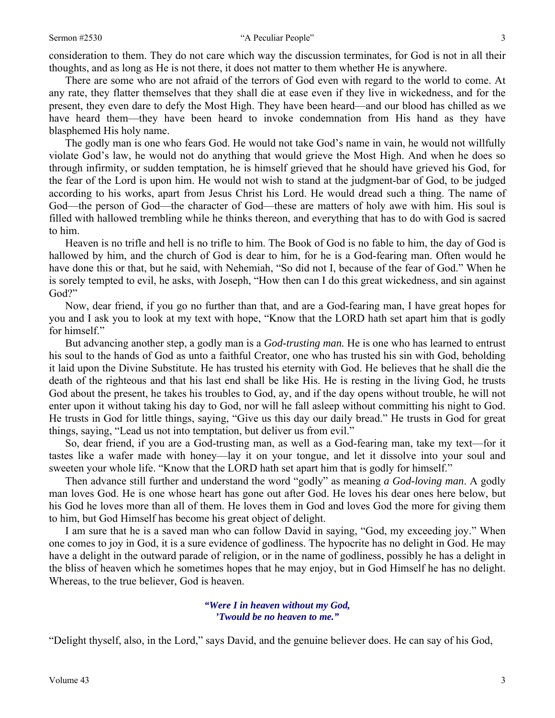consideration to them. They do not care which way the discussion terminates, for God is not in all their thoughts, and as long as He is not there, it does not matter to them whether He is anywhere.

There are some who are not afraid of the terrors of God even with regard to the world to come. At any rate, they flatter themselves that they shall die at ease even if they live in wickedness, and for the present, they even dare to defy the Most High. They have been heard—and our blood has chilled as we have heard them—they have been heard to invoke condemnation from His hand as they have blasphemed His holy name.

The godly man is one who fears God. He would not take God's name in vain, he would not willfully violate God's law, he would not do anything that would grieve the Most High. And when he does so through infirmity, or sudden temptation, he is himself grieved that he should have grieved his God, for the fear of the Lord is upon him. He would not wish to stand at the judgment-bar of God, to be judged according to his works, apart from Jesus Christ his Lord. He would dread such a thing. The name of God—the person of God—the character of God—these are matters of holy awe with him. His soul is filled with hallowed trembling while he thinks thereon, and everything that has to do with God is sacred to him.

Heaven is no trifle and hell is no trifle to him. The Book of God is no fable to him, the day of God is hallowed by him, and the church of God is dear to him, for he is a God-fearing man. Often would he have done this or that, but he said, with Nehemiah, "So did not I, because of the fear of God." When he is sorely tempted to evil, he asks, with Joseph, "How then can I do this great wickedness, and sin against God?"

Now, dear friend, if you go no further than that, and are a God-fearing man, I have great hopes for you and I ask you to look at my text with hope, "Know that the LORD hath set apart him that is godly for himself."

But advancing another step, a godly man is a *God-trusting man.* He is one who has learned to entrust his soul to the hands of God as unto a faithful Creator, one who has trusted his sin with God, beholding it laid upon the Divine Substitute. He has trusted his eternity with God. He believes that he shall die the death of the righteous and that his last end shall be like His. He is resting in the living God, he trusts God about the present, he takes his troubles to God, ay, and if the day opens without trouble, he will not enter upon it without taking his day to God, nor will he fall asleep without committing his night to God. He trusts in God for little things, saying, "Give us this day our daily bread." He trusts in God for great things, saying, "Lead us not into temptation, but deliver us from evil."

So, dear friend, if you are a God-trusting man, as well as a God-fearing man, take my text—for it tastes like a wafer made with honey—lay it on your tongue, and let it dissolve into your soul and sweeten your whole life. "Know that the LORD hath set apart him that is godly for himself."

Then advance still further and understand the word "godly" as meaning *a God-loving man*. A godly man loves God. He is one whose heart has gone out after God. He loves his dear ones here below, but his God he loves more than all of them. He loves them in God and loves God the more for giving them to him, but God Himself has become his great object of delight.

I am sure that he is a saved man who can follow David in saying, "God, my exceeding joy." When one comes to joy in God, it is a sure evidence of godliness. The hypocrite has no delight in God. He may have a delight in the outward parade of religion, or in the name of godliness, possibly he has a delight in the bliss of heaven which he sometimes hopes that he may enjoy, but in God Himself he has no delight. Whereas, to the true believer, God is heaven.

> *"Were I in heaven without my God, 'Twould be no heaven to me."*

"Delight thyself, also, in the Lord," says David, and the genuine believer does. He can say of his God,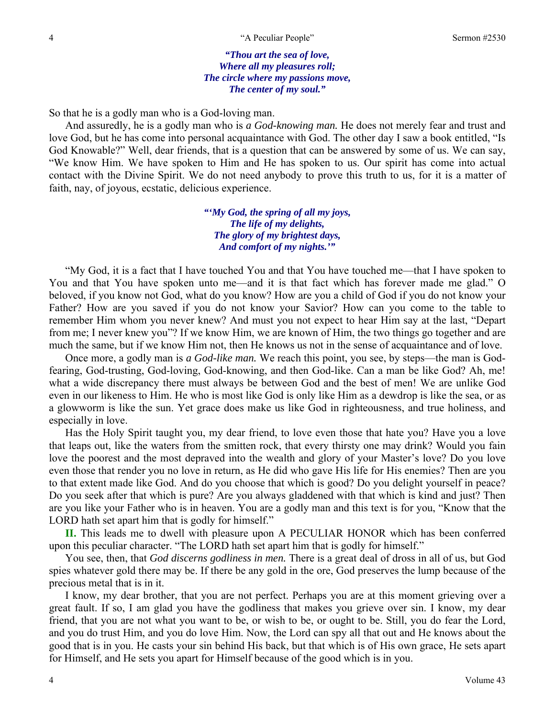### *"Thou art the sea of love, Where all my pleasures roll; The circle where my passions move, The center of my soul."*

So that he is a godly man who is a God-loving man.

And assuredly, he is a godly man who is *a God-knowing man.* He does not merely fear and trust and love God, but he has come into personal acquaintance with God. The other day I saw a book entitled, "Is God Knowable?" Well, dear friends, that is a question that can be answered by some of us. We can say, "We know Him. We have spoken to Him and He has spoken to us. Our spirit has come into actual contact with the Divine Spirit. We do not need anybody to prove this truth to us, for it is a matter of faith, nay, of joyous, ecstatic, delicious experience.

> *"'My God, the spring of all my joys, The life of my delights, The glory of my brightest days, And comfort of my nights.'"*

"My God, it is a fact that I have touched You and that You have touched me—that I have spoken to You and that You have spoken unto me—and it is that fact which has forever made me glad." O beloved, if you know not God, what do you know? How are you a child of God if you do not know your Father? How are you saved if you do not know your Savior? How can you come to the table to remember Him whom you never knew? And must you not expect to hear Him say at the last, "Depart from me; I never knew you"? If we know Him, we are known of Him, the two things go together and are much the same, but if we know Him not, then He knows us not in the sense of acquaintance and of love.

Once more, a godly man is *a God-like man.* We reach this point, you see, by steps—the man is Godfearing, God-trusting, God-loving, God-knowing, and then God-like. Can a man be like God? Ah, me! what a wide discrepancy there must always be between God and the best of men! We are unlike God even in our likeness to Him. He who is most like God is only like Him as a dewdrop is like the sea, or as a glowworm is like the sun. Yet grace does make us like God in righteousness, and true holiness, and especially in love.

Has the Holy Spirit taught you, my dear friend, to love even those that hate you? Have you a love that leaps out, like the waters from the smitten rock, that every thirsty one may drink? Would you fain love the poorest and the most depraved into the wealth and glory of your Master's love? Do you love even those that render you no love in return, as He did who gave His life for His enemies? Then are you to that extent made like God. And do you choose that which is good? Do you delight yourself in peace? Do you seek after that which is pure? Are you always gladdened with that which is kind and just? Then are you like your Father who is in heaven. You are a godly man and this text is for you, "Know that the LORD hath set apart him that is godly for himself."

**II.** This leads me to dwell with pleasure upon A PECULIAR HONOR which has been conferred upon this peculiar character. "The LORD hath set apart him that is godly for himself."

You see, then, that *God discerns godliness in men.* There is a great deal of dross in all of us, but God spies whatever gold there may be. If there be any gold in the ore, God preserves the lump because of the precious metal that is in it.

I know, my dear brother, that you are not perfect. Perhaps you are at this moment grieving over a great fault. If so, I am glad you have the godliness that makes you grieve over sin. I know, my dear friend, that you are not what you want to be, or wish to be, or ought to be. Still, you do fear the Lord, and you do trust Him, and you do love Him. Now, the Lord can spy all that out and He knows about the good that is in you. He casts your sin behind His back, but that which is of His own grace, He sets apart for Himself, and He sets you apart for Himself because of the good which is in you.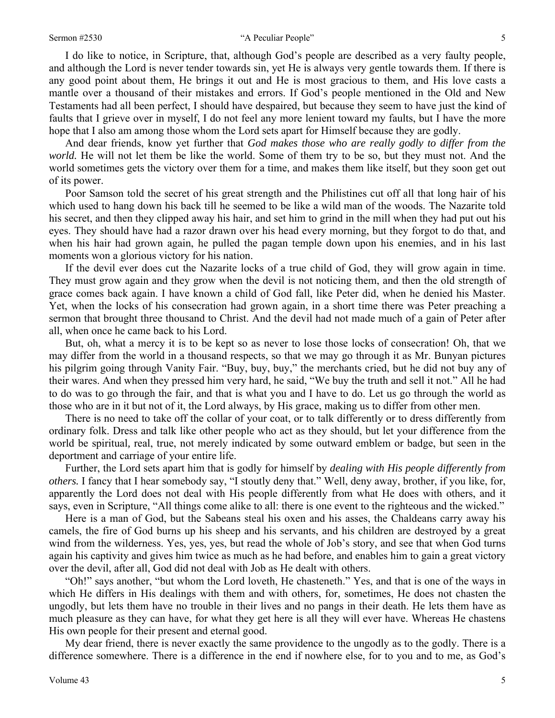I do like to notice, in Scripture, that, although God's people are described as a very faulty people, and although the Lord is never tender towards sin, yet He is always very gentle towards them. If there is any good point about them, He brings it out and He is most gracious to them, and His love casts a mantle over a thousand of their mistakes and errors. If God's people mentioned in the Old and New Testaments had all been perfect, I should have despaired, but because they seem to have just the kind of faults that I grieve over in myself, I do not feel any more lenient toward my faults, but I have the more hope that I also am among those whom the Lord sets apart for Himself because they are godly.

And dear friends, know yet further that *God makes those who are really godly to differ from the world.* He will not let them be like the world. Some of them try to be so, but they must not. And the world sometimes gets the victory over them for a time, and makes them like itself, but they soon get out of its power.

Poor Samson told the secret of his great strength and the Philistines cut off all that long hair of his which used to hang down his back till he seemed to be like a wild man of the woods. The Nazarite told his secret, and then they clipped away his hair, and set him to grind in the mill when they had put out his eyes. They should have had a razor drawn over his head every morning, but they forgot to do that, and when his hair had grown again, he pulled the pagan temple down upon his enemies, and in his last moments won a glorious victory for his nation.

If the devil ever does cut the Nazarite locks of a true child of God, they will grow again in time. They must grow again and they grow when the devil is not noticing them, and then the old strength of grace comes back again. I have known a child of God fall, like Peter did, when he denied his Master. Yet, when the locks of his consecration had grown again, in a short time there was Peter preaching a sermon that brought three thousand to Christ. And the devil had not made much of a gain of Peter after all, when once he came back to his Lord.

But, oh, what a mercy it is to be kept so as never to lose those locks of consecration! Oh, that we may differ from the world in a thousand respects, so that we may go through it as Mr. Bunyan pictures his pilgrim going through Vanity Fair. "Buy, buy, buy," the merchants cried, but he did not buy any of their wares. And when they pressed him very hard, he said, "We buy the truth and sell it not." All he had to do was to go through the fair, and that is what you and I have to do. Let us go through the world as those who are in it but not of it, the Lord always, by His grace, making us to differ from other men.

There is no need to take off the collar of your coat, or to talk differently or to dress differently from ordinary folk. Dress and talk like other people who act as they should, but let your difference from the world be spiritual*,* real, true, not merely indicated by some outward emblem or badge, but seen in the deportment and carriage of your entire life.

Further, the Lord sets apart him that is godly for himself by *dealing with His people differently from others.* I fancy that I hear somebody say, "I stoutly deny that." Well, deny away, brother, if you like, for, apparently the Lord does not deal with His people differently from what He does with others, and it says, even in Scripture, "All things come alike to all: there is one event to the righteous and the wicked."

Here is a man of God, but the Sabeans steal his oxen and his asses, the Chaldeans carry away his camels, the fire of God burns up his sheep and his servants, and his children are destroyed by a great wind from the wilderness. Yes, yes, yes, but read the whole of Job's story, and see that when God turns again his captivity and gives him twice as much as he had before, and enables him to gain a great victory over the devil, after all, God did not deal with Job as He dealt with others.

"Oh!" says another, "but whom the Lord loveth, He chasteneth." Yes, and that is one of the ways in which He differs in His dealings with them and with others, for, sometimes, He does not chasten the ungodly, but lets them have no trouble in their lives and no pangs in their death. He lets them have as much pleasure as they can have, for what they get here is all they will ever have. Whereas He chastens His own people for their present and eternal good.

My dear friend, there is never exactly the same providence to the ungodly as to the godly. There is a difference somewhere. There is a difference in the end if nowhere else, for to you and to me, as God's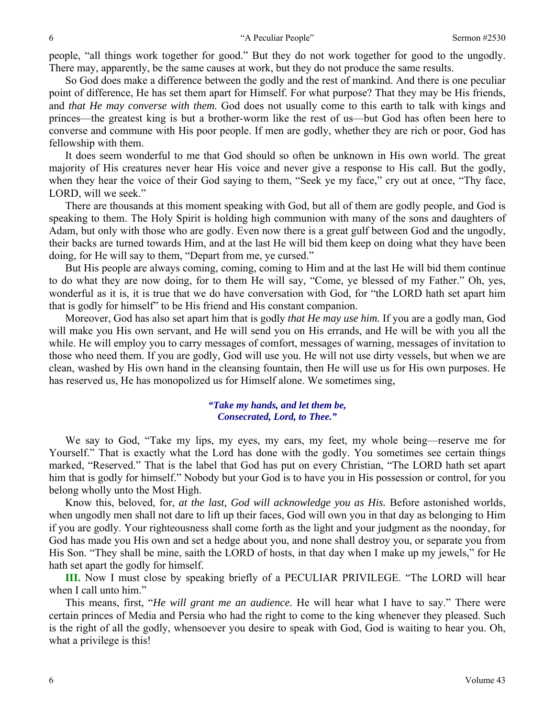people, "all things work together for good." But they do not work together for good to the ungodly. There may, apparently, be the same causes at work, but they do not produce the same results.

So God does make a difference between the godly and the rest of mankind. And there is one peculiar point of difference, He has set them apart for Himself. For what purpose? That they may be His friends, and *that He may converse with them.* God does not usually come to this earth to talk with kings and princes—the greatest king is but a brother-worm like the rest of us—but God has often been here to converse and commune with His poor people. If men are godly, whether they are rich or poor, God has fellowship with them.

It does seem wonderful to me that God should so often be unknown in His own world. The great majority of His creatures never hear His voice and never give a response to His call. But the godly, when they hear the voice of their God saying to them, "Seek ye my face," cry out at once, "Thy face, LORD, will we seek."

There are thousands at this moment speaking with God, but all of them are godly people, and God is speaking to them. The Holy Spirit is holding high communion with many of the sons and daughters of Adam, but only with those who are godly. Even now there is a great gulf between God and the ungodly, their backs are turned towards Him, and at the last He will bid them keep on doing what they have been doing, for He will say to them, "Depart from me, ye cursed."

But His people are always coming, coming, coming to Him and at the last He will bid them continue to do what they are now doing, for to them He will say, "Come, ye blessed of my Father." Oh, yes, wonderful as it is, it is true that we do have conversation with God, for "the LORD hath set apart him that is godly for himself" to be His friend and His constant companion.

Moreover, God has also set apart him that is godly *that He may use him.* If you are a godly man, God will make you His own servant, and He will send you on His errands, and He will be with you all the while. He will employ you to carry messages of comfort, messages of warning, messages of invitation to those who need them. If you are godly, God will use you. He will not use dirty vessels, but when we are clean, washed by His own hand in the cleansing fountain, then He will use us for His own purposes. He has reserved us, He has monopolized us for Himself alone. We sometimes sing,

### *"Take my hands, and let them be, Consecrated, Lord, to Thee."*

We say to God, "Take my lips, my eyes, my ears, my feet, my whole being—reserve me for Yourself." That is exactly what the Lord has done with the godly. You sometimes see certain things marked, "Reserved." That is the label that God has put on every Christian, "The LORD hath set apart him that is godly for himself." Nobody but your God is to have you in His possession or control, for you belong wholly unto the Most High.

Know this, beloved, for, *at the last, God will acknowledge you as His.* Before astonished worlds, when ungodly men shall not dare to lift up their faces, God will own you in that day as belonging to Him if you are godly. Your righteousness shall come forth as the light and your judgment as the noonday, for God has made you His own and set a hedge about you, and none shall destroy you, or separate you from His Son. "They shall be mine, saith the LORD of hosts, in that day when I make up my jewels," for He hath set apart the godly for himself.

**III.** Now I must close by speaking briefly of a PECULIAR PRIVILEGE. "The LORD will hear when I call unto him."

This means, first, "*He will grant me an audience.* He will hear what I have to say." There were certain princes of Media and Persia who had the right to come to the king whenever they pleased. Such is the right of all the godly, whensoever you desire to speak with God, God is waiting to hear you. Oh, what a privilege is this!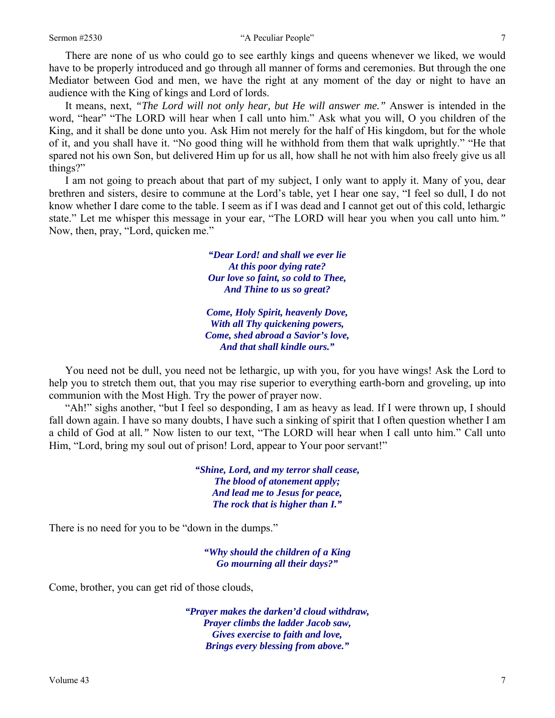There are none of us who could go to see earthly kings and queens whenever we liked, we would have to be properly introduced and go through all manner of forms and ceremonies. But through the one Mediator between God and men, we have the right at any moment of the day or night to have an audience with the King of kings and Lord of lords.

It means, next, *"The Lord will not only hear, but He will answer me."* Answer is intended in the word, "hear" "The LORD will hear when I call unto him." Ask what you will, O you children of the King, and it shall be done unto you. Ask Him not merely for the half of His kingdom, but for the whole of it, and you shall have it. "No good thing will he withhold from them that walk uprightly." "He that spared not his own Son, but delivered Him up for us all, how shall he not with him also freely give us all things?"

I am not going to preach about that part of my subject, I only want to apply it. Many of you, dear brethren and sisters, desire to commune at the Lord's table, yet I hear one say, "I feel so dull, I do not know whether I dare come to the table. I seem as if I was dead and I cannot get out of this cold, lethargic state." Let me whisper this message in your ear, "The LORD will hear you when you call unto him*."*  Now, then, pray, "Lord, quicken me."

> *"Dear Lord! and shall we ever lie At this poor dying rate? Our love so faint, so cold to Thee, And Thine to us so great?*

*Come, Holy Spirit, heavenly Dove, With all Thy quickening powers, Come, shed abroad a Savior's love, And that shall kindle ours."* 

You need not be dull, you need not be lethargic, up with you, for you have wings! Ask the Lord to help you to stretch them out, that you may rise superior to everything earth-born and groveling, up into communion with the Most High. Try the power of prayer now.

"Ah!" sighs another, "but I feel so desponding, I am as heavy as lead. If I were thrown up, I should fall down again. I have so many doubts, I have such a sinking of spirit that I often question whether I am a child of God at all*."* Now listen to our text, "The LORD will hear when I call unto him." Call unto Him, "Lord, bring my soul out of prison! Lord, appear to Your poor servant!"

> *"Shine, Lord, and my terror shall cease, The blood of atonement apply; And lead me to Jesus for peace, The rock that is higher than I."*

There is no need for you to be "down in the dumps."

*"Why should the children of a King Go mourning all their days?"* 

Come, brother, you can get rid of those clouds,

*"Prayer makes the darken'd cloud withdraw, Prayer climbs the ladder Jacob saw, Gives exercise to faith and love, Brings every blessing from above."*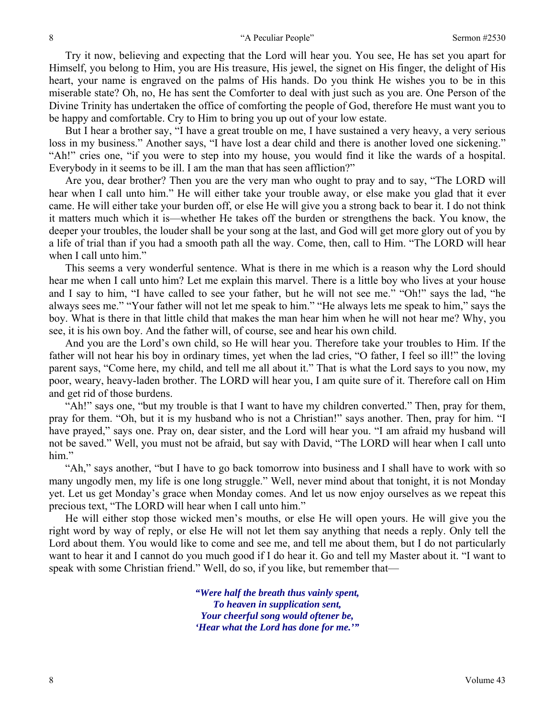Try it now, believing and expecting that the Lord will hear you. You see, He has set you apart for Himself, you belong to Him, you are His treasure, His jewel, the signet on His finger, the delight of His heart, your name is engraved on the palms of His hands. Do you think He wishes you to be in this miserable state? Oh, no, He has sent the Comforter to deal with just such as you are. One Person of the Divine Trinity has undertaken the office of comforting the people of God, therefore He must want you to be happy and comfortable. Cry to Him to bring you up out of your low estate.

But I hear a brother say, "I have a great trouble on me, I have sustained a very heavy, a very serious loss in my business." Another says, "I have lost a dear child and there is another loved one sickening." "Ah!" cries one, "if you were to step into my house, you would find it like the wards of a hospital. Everybody in it seems to be ill. I am the man that has seen affliction?"

Are you, dear brother? Then you are the very man who ought to pray and to say, "The LORD will hear when I call unto him." He will either take your trouble away, or else make you glad that it ever came. He will either take your burden off, or else He will give you a strong back to bear it. I do not think it matters much which it is—whether He takes off the burden or strengthens the back. You know, the deeper your troubles, the louder shall be your song at the last, and God will get more glory out of you by a life of trial than if you had a smooth path all the way. Come, then, call to Him. "The LORD will hear when I call unto him."

This seems a very wonderful sentence. What is there in me which is a reason why the Lord should hear me when I call unto him? Let me explain this marvel. There is a little boy who lives at your house and I say to him, "I have called to see your father, but he will not see me." "Oh!" says the lad, "he always sees me." "Your father will not let me speak to him." "He always lets me speak to him," says the boy. What is there in that little child that makes the man hear him when he will not hear me? Why, you see, it is his own boy. And the father will, of course, see and hear his own child.

And you are the Lord's own child, so He will hear you. Therefore take your troubles to Him. If the father will not hear his boy in ordinary times, yet when the lad cries, "O father, I feel so ill!" the loving parent says, "Come here, my child, and tell me all about it." That is what the Lord says to you now, my poor, weary, heavy-laden brother. The LORD will hear you, I am quite sure of it. Therefore call on Him and get rid of those burdens.

"Ah!" says one, "but my trouble is that I want to have my children converted." Then, pray for them, pray for them. "Oh, but it is my husband who is not a Christian!" says another. Then, pray for him. "I have prayed," says one. Pray on, dear sister, and the Lord will hear you. "I am afraid my husband will not be saved." Well, you must not be afraid, but say with David, "The LORD will hear when I call unto him."

"Ah," says another, "but I have to go back tomorrow into business and I shall have to work with so many ungodly men, my life is one long struggle." Well, never mind about that tonight, it is not Monday yet. Let us get Monday's grace when Monday comes. And let us now enjoy ourselves as we repeat this precious text, "The LORD will hear when I call unto him."

He will either stop those wicked men's mouths, or else He will open yours. He will give you the right word by way of reply, or else He will not let them say anything that needs a reply. Only tell the Lord about them. You would like to come and see me, and tell me about them, but I do not particularly want to hear it and I cannot do you much good if I do hear it. Go and tell my Master about it. "I want to speak with some Christian friend." Well, do so, if you like, but remember that—

> *"Were half the breath thus vainly spent, To heaven in supplication sent, Your cheerful song would oftener be, 'Hear what the Lord has done for me.'"*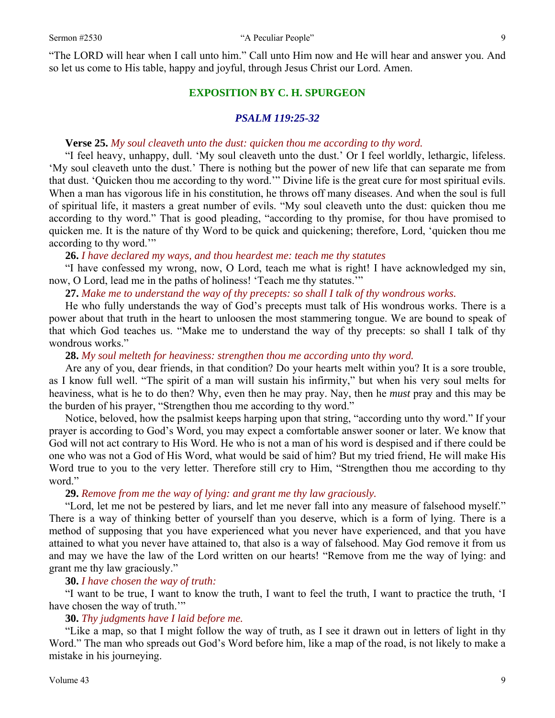"The LORD will hear when I call unto him." Call unto Him now and He will hear and answer you. And so let us come to His table, happy and joyful, through Jesus Christ our Lord. Amen.

# **EXPOSITION BY C. H. SPURGEON**

# *PSALM 119:25-32*

#### **Verse 25.** *My soul cleaveth unto the dust: quicken thou me according to thy word.*

"I feel heavy, unhappy, dull. 'My soul cleaveth unto the dust.' Or I feel worldly, lethargic, lifeless. 'My soul cleaveth unto the dust.' There is nothing but the power of new life that can separate me from that dust. 'Quicken thou me according to thy word.'" Divine life is the great cure for most spiritual evils. When a man has vigorous life in his constitution, he throws off many diseases. And when the soul is full of spiritual life, it masters a great number of evils. "My soul cleaveth unto the dust: quicken thou me according to thy word." That is good pleading, "according to thy promise, for thou have promised to quicken me. It is the nature of thy Word to be quick and quickening; therefore, Lord, 'quicken thou me according to thy word.'"

**26.** *I have declared my ways, and thou heardest me: teach me thy statutes* 

"I have confessed my wrong, now, O Lord, teach me what is right! I have acknowledged my sin, now, O Lord, lead me in the paths of holiness! 'Teach me thy statutes.'"

**27.** *Make me to understand the way of thy precepts: so shall I talk of thy wondrous works.* 

He who fully understands the way of God's precepts must talk of His wondrous works. There is a power about that truth in the heart to unloosen the most stammering tongue. We are bound to speak of that which God teaches us. "Make me to understand the way of thy precepts: so shall I talk of thy wondrous works."

### **28.** *My soul melteth for heaviness: strengthen thou me according unto thy word.*

Are any of you, dear friends, in that condition? Do your hearts melt within you? It is a sore trouble, as I know full well. "The spirit of a man will sustain his infirmity," but when his very soul melts for heaviness, what is he to do then? Why, even then he may pray. Nay, then he *must* pray and this may be the burden of his prayer, "Strengthen thou me according to thy word."

Notice, beloved, how the psalmist keeps harping upon that string, "according unto thy word." If your prayer is according to God's Word, you may expect a comfortable answer sooner or later. We know that God will not act contrary to His Word. He who is not a man of his word is despised and if there could be one who was not a God of His Word, what would be said of him? But my tried friend, He will make His Word true to you to the very letter. Therefore still cry to Him, "Strengthen thou me according to thy word."

### **29.** *Remove from me the way of lying: and grant me thy law graciously.*

"Lord, let me not be pestered by liars, and let me never fall into any measure of falsehood myself." There is a way of thinking better of yourself than you deserve, which is a form of lying. There is a method of supposing that you have experienced what you never have experienced, and that you have attained to what you never have attained to, that also is a way of falsehood. May God remove it from us and may we have the law of the Lord written on our hearts! "Remove from me the way of lying: and grant me thy law graciously."

#### **30.** *I have chosen the way of truth:*

"I want to be true, I want to know the truth, I want to feel the truth, I want to practice the truth, 'I have chosen the way of truth."

### **30.** *Thy judgments have I laid before me.*

"Like a map, so that I might follow the way of truth, as I see it drawn out in letters of light in thy Word." The man who spreads out God's Word before him, like a map of the road, is not likely to make a mistake in his journeying.